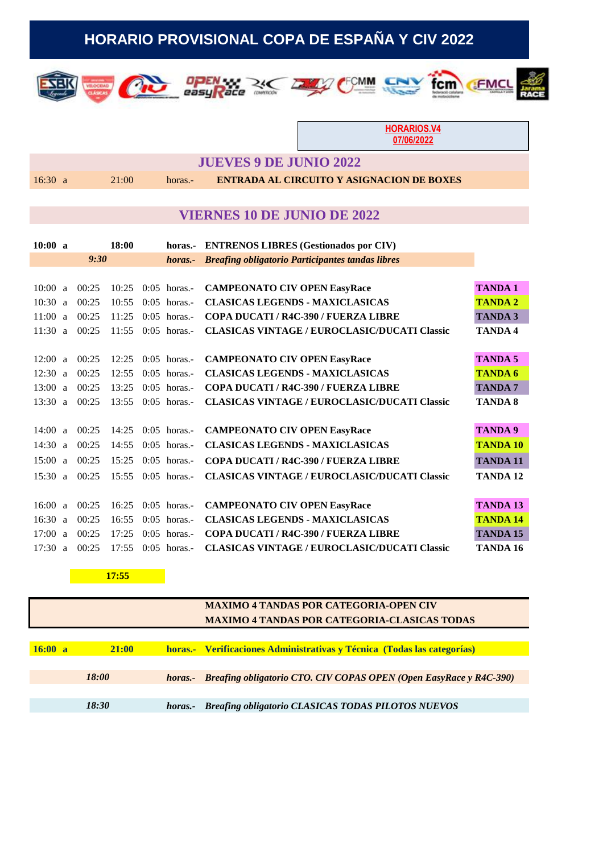# **HORARIO PROVISIONAL COPA DE ESPAÑA Y CIV 2022**







**HORARIOS.V4 07/06/2022**

FMC

fcm

**GTR** 

#### **JUEVES 9 DE JUNIO 2022**

 $\sqrt{2}$ 

#### 16:30 a 21:00 horas.- **ENTRADA AL CIRCUITO Y ASIGNACION DE BOXES**

### **VIERNES 10 DE JUNIO DE 2022**

| 10:00 a |   |       | 18:00 | horas.-        | <b>ENTRENOS LIBRES (Gestionados por CIV)</b>            |                 |
|---------|---|-------|-------|----------------|---------------------------------------------------------|-----------------|
|         |   | 9:30  |       | horas.-        | <b>Breafing obligatorio Participantes tandas libres</b> |                 |
|         |   |       |       |                |                                                         |                 |
| 10:00 a |   | 00:25 | 10:25 | $0:05$ horas.- | <b>CAMPEONATO CIV OPEN EasyRace</b>                     | <b>TANDA1</b>   |
| 10:30 a |   | 00:25 | 10:55 | $0:05$ horas.- | <b>CLASICAS LEGENDS - MAXICLASICAS</b>                  | <b>TANDA2</b>   |
| 11:00   | a | 00:25 | 11:25 | $0:05$ horas.- | <b>COPA DUCATI / R4C-390 / FUERZA LIBRE</b>             | <b>TANDA 3</b>  |
| 11:30 a |   | 00:25 | 11:55 | $0:05$ horas.  | <b>CLASICAS VINTAGE / EUROCLASIC/DUCATI Classic</b>     | <b>TANDA4</b>   |
|         |   |       |       |                |                                                         |                 |
| 12:00   | a | 00:25 | 12:25 | $0:05$ horas.- | <b>CAMPEONATO CIV OPEN EasyRace</b>                     | <b>TANDA 5</b>  |
| 12:30   | a | 00:25 | 12:55 | $0:05$ horas.- | <b>CLASICAS LEGENDS - MAXICLASICAS</b>                  | <b>TANDA 6</b>  |
| 13:00   | a | 00:25 | 13:25 | $0:05$ horas.- | COPA DUCATI / R4C-390 / FUERZA LIBRE                    | <b>TANDA7</b>   |
| 13:30   | a | 00:25 | 13:55 | $0:05$ horas.- | <b>CLASICAS VINTAGE / EUROCLASIC/DUCATI Classic</b>     | <b>TANDA 8</b>  |
|         |   |       |       |                |                                                         |                 |
| 14:00   | a | 00:25 | 14:25 | $0:05$ horas.- | <b>CAMPEONATO CIV OPEN EasyRace</b>                     | <b>TANDA 9</b>  |
| 14:30   | a | 00:25 | 14:55 | $0:05$ horas.- | <b>CLASICAS LEGENDS - MAXICLASICAS</b>                  | <b>TANDA 10</b> |
| 15:00   | a | 00:25 | 15:25 | $0:05$ horas.- | <b>COPA DUCATI / R4C-390 / FUERZA LIBRE</b>             | <b>TANDA 11</b> |
| 15:30   | a | 00:25 | 15:55 | $0:05$ horas.- | <b>CLASICAS VINTAGE / EUROCLASIC/DUCATI Classic</b>     | <b>TANDA 12</b> |
|         |   |       |       |                |                                                         |                 |
| 16:00   | a | 00:25 | 16:25 | $0:05$ horas.- | <b>CAMPEONATO CIV OPEN EasyRace</b>                     | <b>TANDA 13</b> |
| 16:30   | a | 00:25 | 16:55 | $0:05$ horas.- | <b>CLASICAS LEGENDS - MAXICLASICAS</b>                  | <b>TANDA 14</b> |
| 17:00   | a | 00:25 | 17:25 | $0:05$ horas.- | <b>COPA DUCATI / R4C-390 / FUERZA LIBRE</b>             | <b>TANDA 15</b> |
| 17:30 a |   | 00:25 | 17:55 | $0:05$ horas.- | <b>CLASICAS VINTAGE / EUROCLASIC/DUCATI Classic</b>     | TANDA 16        |

**17:55**

#### **MAXIMO 4 TANDAS POR CATEGORIA-OPEN CIV MAXIMO 4 TANDAS POR CATEGORIA-CLASICAS TODAS**

| 16:00 a      | 21:00 | horas.- Verificaciones Administrativas y Técnica (Todas las categorías)    |
|--------------|-------|----------------------------------------------------------------------------|
|              |       |                                                                            |
| <i>18:00</i> |       | horas.- Breafing obligatorio CTO. CIV COPAS OPEN (Open EasyRace y R4C-390) |
|              |       |                                                                            |
|              | 18:30 | horas.- Breafing obligatorio CLASICAS TODAS PILOTOS NUEVOS                 |